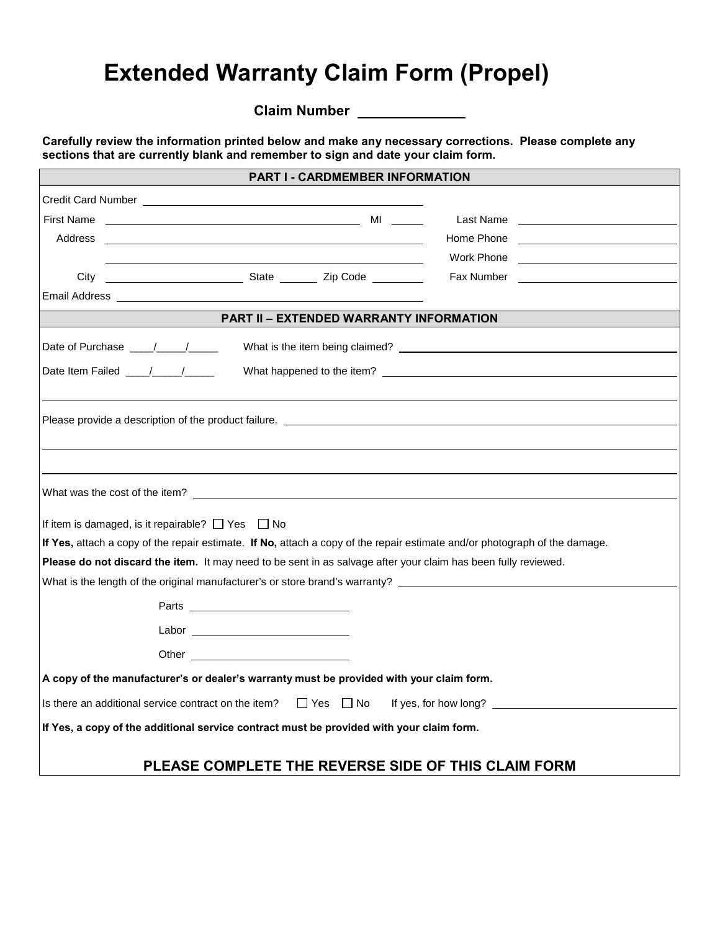## **Extended Warranty Claim Form (Propel)**

**Claim Number** 

**Carefully review the information printed below and make any necessary corrections. Please complete any sections that are currently blank and remember to sign and date your claim form.**

| <b>PART I - CARDMEMBER INFORMATION</b>                                                                                                                                                                                                   |                      |                                                                                                           |
|------------------------------------------------------------------------------------------------------------------------------------------------------------------------------------------------------------------------------------------|----------------------|-----------------------------------------------------------------------------------------------------------|
| Credit Card Number <b>Example 20</b> Number                                                                                                                                                                                              |                      |                                                                                                           |
| <b>First Name</b>                                                                                                                                                                                                                        |                      | Last Name                                                                                                 |
| Address<br>the control of the control of the control of the control of the control of the control of the control of the control of the control of the control of the control of the control of the control of the control of the control |                      | Home Phone <u>___________________________</u>                                                             |
|                                                                                                                                                                                                                                          |                      |                                                                                                           |
| City                                                                                                                                                                                                                                     |                      |                                                                                                           |
| Email Address and the contract of the contract of the contract of the contract of the contract of the contract of the contract of the contract of the contract of the contract of the contract of the contract of the contract           |                      |                                                                                                           |
| <b>PART II - EXTENDED WARRANTY INFORMATION</b>                                                                                                                                                                                           |                      |                                                                                                           |
|                                                                                                                                                                                                                                          |                      |                                                                                                           |
| Date Item Failed ___/___/____                                                                                                                                                                                                            |                      |                                                                                                           |
|                                                                                                                                                                                                                                          |                      |                                                                                                           |
|                                                                                                                                                                                                                                          |                      |                                                                                                           |
|                                                                                                                                                                                                                                          |                      | Please provide a description of the product failure. The contract of the contract of the product failure. |
|                                                                                                                                                                                                                                          |                      |                                                                                                           |
|                                                                                                                                                                                                                                          |                      |                                                                                                           |
|                                                                                                                                                                                                                                          |                      |                                                                                                           |
| If item is damaged, is it repairable? $\Box$ Yes $\Box$ No                                                                                                                                                                               |                      |                                                                                                           |
| If Yes, attach a copy of the repair estimate. If No, attach a copy of the repair estimate and/or photograph of the damage.                                                                                                               |                      |                                                                                                           |
| Please do not discard the item. It may need to be sent in as salvage after your claim has been fully reviewed.                                                                                                                           |                      |                                                                                                           |
| What is the length of the original manufacturer's or store brand's warranty? _________________________________                                                                                                                           |                      |                                                                                                           |
|                                                                                                                                                                                                                                          |                      |                                                                                                           |
|                                                                                                                                                                                                                                          |                      |                                                                                                           |
|                                                                                                                                                                                                                                          |                      |                                                                                                           |
|                                                                                                                                                                                                                                          |                      |                                                                                                           |
| A copy of the manufacturer's or dealer's warranty must be provided with your claim form.                                                                                                                                                 |                      |                                                                                                           |
| Is there an additional service contract on the item?                                                                                                                                                                                     | $\Box$ Yes $\Box$ No | If yes, for how long?                                                                                     |
| If Yes, a copy of the additional service contract must be provided with your claim form.                                                                                                                                                 |                      |                                                                                                           |
|                                                                                                                                                                                                                                          |                      |                                                                                                           |
|                                                                                                                                                                                                                                          |                      | PLEASE COMPLETE THE REVERSE SIDE OF THIS CLAIM FORM                                                       |